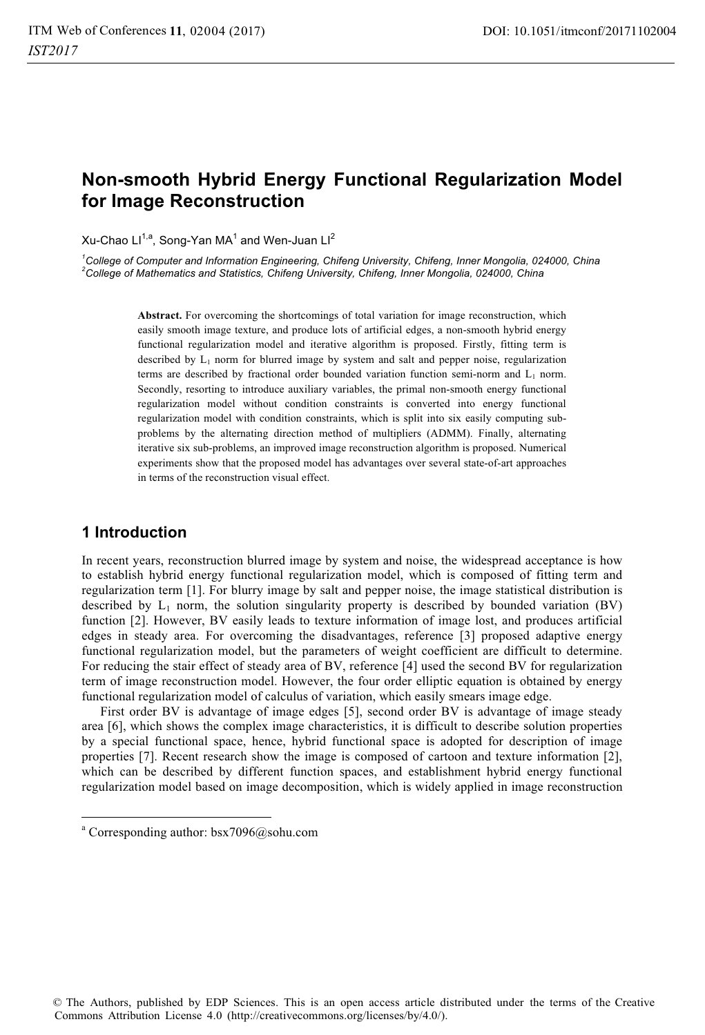# **Non-smooth Hybrid Energy Functional Regularization Model for Image Reconstruction**

Xu-Chao Ll $^{1,a}$ , Song-Yan MA $^1$  and Wen-Juan Ll $^2$ 

<sup>1</sup>College of Computer and Information Engineering, Chifeng University, Chifeng, Inner Mongolia, 024000, China 2<br><sup>2</sup>College of Mothematics and Statistics, Chifeng University, Chifeng, Inner Mongolia, 024000, China *College of Mathematics and Statistics, Chifeng University, Chifeng, Inner Mongolia, 024000, China* 

> Abstract. For overcoming the shortcomings of total variation for image reconstruction, which easily smooth image texture, and produce lots of artificial edges, a non-smooth hybrid energy functional regularization model and iterative algorithm is proposed. Firstly, fitting term is described by  $L_1$  norm for blurred image by system and salt and pepper noise, regularization terms are described by fractional order bounded variation function semi-norm and  $L_1$  norm. Secondly, resorting to introduce auxiliary variables, the primal non-smooth energy functional regularization model without condition constraints is converted into energy functional regularization model with condition constraints, which is split into six easily computing subproblems by the alternating direction method of multipliers (ADMM). Finally, alternating iterative six sub-problems, an improved image reconstruction algorithm is proposed. Numerical experiments show that the proposed model has advantages over several state-of-art approaches in terms of the reconstruction visual effect.

## **1 Introduction**

1

In recent years, reconstruction blurred image by system and noise, the widespread acceptance is how to establish hybrid energy functional regularization model, which is composed of fitting term and regularization term [1]. For blurry image by salt and pepper noise, the image statistical distribution is described by  $L_1$  norm, the solution singularity property is described by bounded variation (BV) function [2]. However, BV easily leads to texture information of image lost, and produces artificial edges in steady area. For overcoming the disadvantages, reference [3] proposed adaptive energy functional regularization model, but the parameters of weight coefficient are difficult to determine. For reducing the stair effect of steady area of BV, reference [4] used the second BV for regularization term of image reconstruction model. However, the four order elliptic equation is obtained by energy functional regularization model of calculus of variation, which easily smears image edge.

First order BV is advantage of image edges [5], second order BV is advantage of image steady area [6], which shows the complex image characteristics, it is difficult to describe solution properties by a special functional space, hence, hybrid functional space is adopted for description of image properties [7]. Recent research show the image is composed of cartoon and texture information [2], which can be described by different function spaces, and establishment hybrid energy functional regularization model based on image decomposition, which is widely applied in image reconstruction

a Corresponding author: bsx7096@sohu.com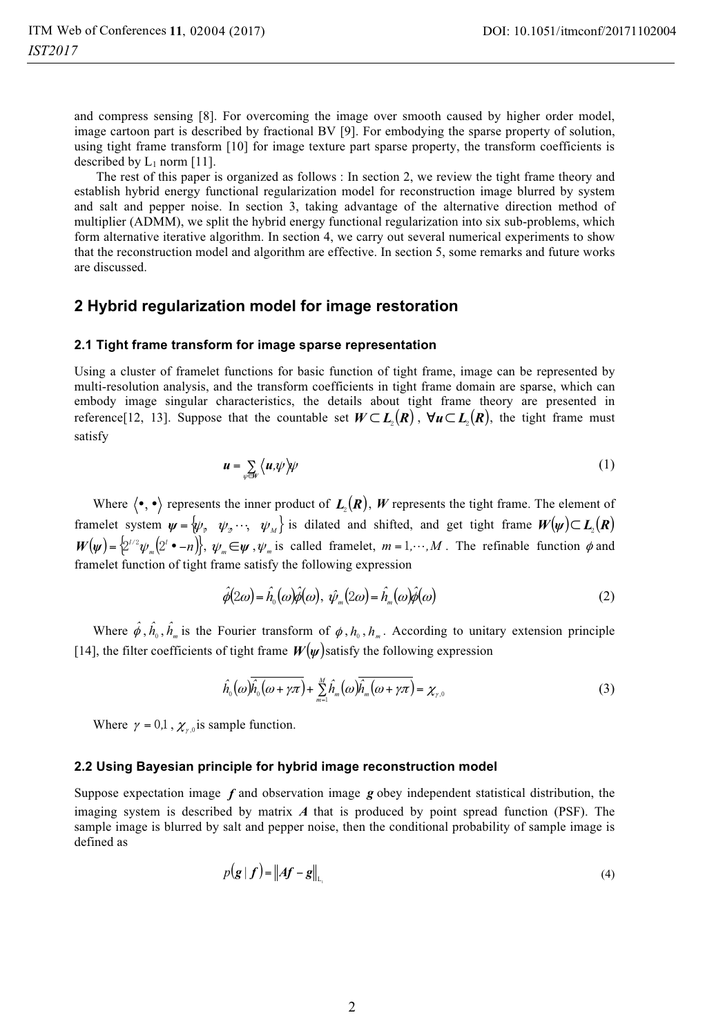and compress sensing [8]. For overcoming the image over smooth caused by higher order model, image cartoon part is described by fractional BV [9]. For embodying the sparse property of solution, using tight frame transform [10] for image texture part sparse property, the transform coefficients is described by  $L_1$  norm [11].

 The rest of this paper is organized as follows : In section 2, we review the tight frame theory and establish hybrid energy functional regularization model for reconstruction image blurred by system and salt and pepper noise. In section 3, taking advantage of the alternative direction method of multiplier (ADMM), we split the hybrid energy functional regularization into six sub-problems, which form alternative iterative algorithm. In section 4, we carry out several numerical experiments to show that the reconstruction model and algorithm are effective. In section 5, some remarks and future works are discussed.

### **2 Hybrid regularization model for image restoration**

#### **2.1 Tight frame transform for image sparse representation**

Using a cluster of framelet functions for basic function of tight frame, image can be represented by multi-resolution analysis, and the transform coefficients in tight frame domain are sparse, which can embody image singular characteristics, the details about tight frame theory are presented in reference[12, 13]. Suppose that the countable set  $W \subset L_{2}(R)$ ,  $\forall u \subset L_{2}(R)$ , the tight frame must satisfy

$$
u = \sum_{\psi \in V} \langle u, \psi \rangle \psi \tag{1}
$$

Where  $\langle \bullet, \bullet \rangle$  represents the inner product of  $L_2(R)$ , *W* represents the tight frame. The element of framelet system  $\psi = \psi$ ,  $\psi$ <sub>2</sub>...,  $\psi$ <sub>M</sub> is dilated and shifted, and get tight frame  $W(\psi) \subset L$ <sub>2</sub>(*R*)  $W(\psi) = \left\{2^{1/2}\psi_m(2' \cdot -n)\right\}, \psi_m \in \psi, \psi_m$  is called framelet,  $m = 1, \dots, M$ . The refinable function  $\phi$  and framelet function of tight frame satisfy the following expression

$$
\hat{\phi}(2\omega) = \hat{h}_0(\omega)\hat{\phi}(\omega), \ \hat{\psi}_m(2\omega) = \hat{h}_m(\omega)\hat{\phi}(\omega)
$$
\n(2)

Where  $\hat{\phi}$ ,  $\hat{h}_0$ ,  $\hat{h}_m$  is the Fourier transform of  $\phi$ ,  $h_0$ ,  $h_m$ . According to unitary extension principle [14], the filter coefficients of tight frame  $W(\psi)$  satisfy the following expression

$$
\hat{h}_0(\omega)\overline{\hat{h}_0(\omega+\gamma\pi)} + \sum_{m=1}^M \hat{h}_m(\omega)\overline{\hat{h}_m(\omega+\gamma\pi)} = \chi_{\gamma,0}
$$
\n(3)

Where  $\gamma = 0,1$ ,  $\chi_{\gamma,0}$  is sample function.

#### **2.2 Using Bayesian principle for hybrid image reconstruction model**

Suppose expectation image *f* and observation image *g* obey independent statistical distribution, the imaging system is described by matrix *A* that is produced by point spread function (PSF). The sample image is blurred by salt and pepper noise, then the conditional probability of sample image is defined as

$$
p(\mathbf{g} \mid \mathbf{f}) = \|A\mathbf{f} - \mathbf{g}\|_{L_1} \tag{4}
$$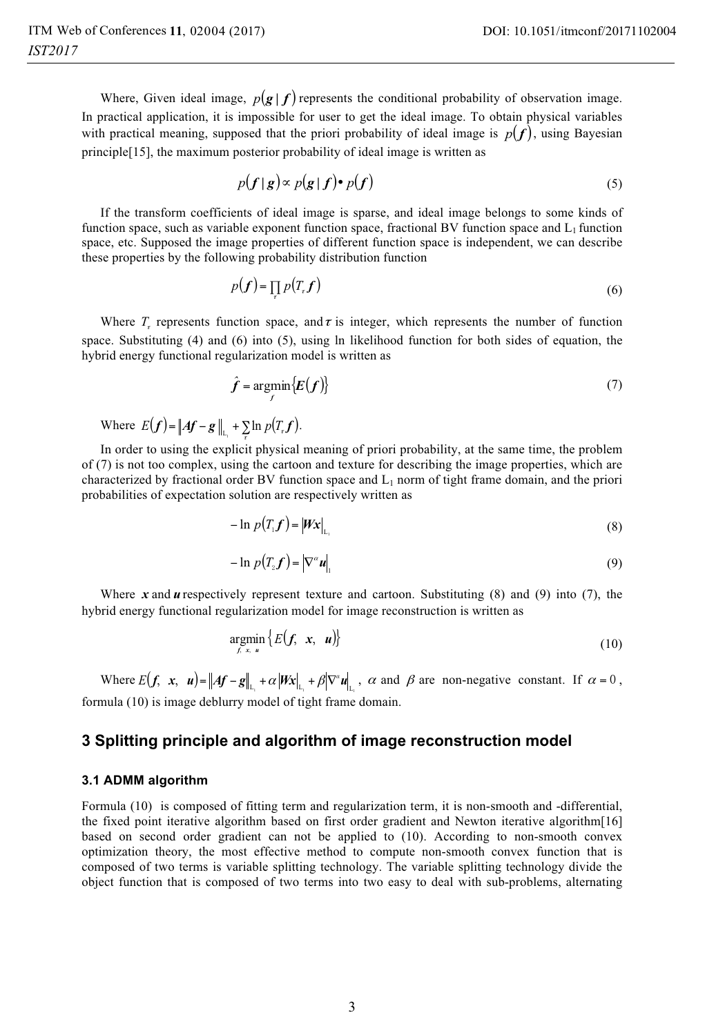Where, Given ideal image,  $p(g | f)$  represents the conditional probability of observation image. In practical application, it is impossible for user to get the ideal image. To obtain physical variables with practical meaning, supposed that the priori probability of ideal image is  $p(f)$ , using Bayesian principle[15], the maximum posterior probability of ideal image is written as

$$
p(f|g) \propto p(g|f) \cdot p(f) \tag{5}
$$

If the transform coefficients of ideal image is sparse, and ideal image belongs to some kinds of function space, such as variable exponent function space, fractional BV function space and  $L_1$  function space, etc. Supposed the image properties of different function space is independent, we can describe these properties by the following probability distribution function

$$
p(f) = \prod_{r} p(T_r f) \tag{6}
$$

Where  $T<sub>r</sub>$  represents function space, and  $\tau$  is integer, which represents the number of function space. Substituting (4) and (6) into (5), using ln likelihood function for both sides of equation, the hybrid energy functional regularization model is written as

$$
\hat{f} = \underset{f}{\text{argmin}} \{E(f)\} \tag{7}
$$

Where  $E(f) = \| Af - g \|_{L_1} + \sum_{\tau} \ln p(T_{\tau} f)$ .

In order to using the explicit physical meaning of priori probability, at the same time, the problem of (7) is not too complex, using the cartoon and texture for describing the image properties, which are characterized by fractional order BV function space and  $L_1$  norm of tight frame domain, and the priori probabilities of expectation solution are respectively written as

$$
-\ln p(T_1 f) = |Wx|_{L_1}
$$
\n(8)

$$
-\ln p(T_2 f) = |\nabla^{\alpha} u| \tag{9}
$$

Where  $x$  and  $y$  respectively represent texture and cartoon. Substituting (8) and (9) into (7), the hybrid energy functional regularization model for image reconstruction is written as

$$
\underset{f.x}{\text{argmin}} \left\{ E(f, x, u) \right\} \tag{10}
$$

Where  $E(f, x, u) = \|Af - g\|_{L_1} + \alpha |Wx|_{L_1} + \beta |\nabla^{\alpha} u|_{L_2}$ ,  $\alpha$  and  $\beta$  are non-negative constant. If  $\alpha = 0$ , formula (10) is image deblurry model of tight frame domain.

## **3 Splitting principle and algorithm of image reconstruction model**

#### **3.1 ADMM algorithm**

Formula (10) is composed of fitting term and regularization term, it is non-smooth and -differential, the fixed point iterative algorithm based on first order gradient and Newton iterative algorithm[16] based on second order gradient can not be applied to (10). According to non-smooth convex optimization theory, the most effective method to compute non-smooth convex function that is composed of two terms is variable splitting technology. The variable splitting technology divide the object function that is composed of two terms into two easy to deal with sub-problems, alternating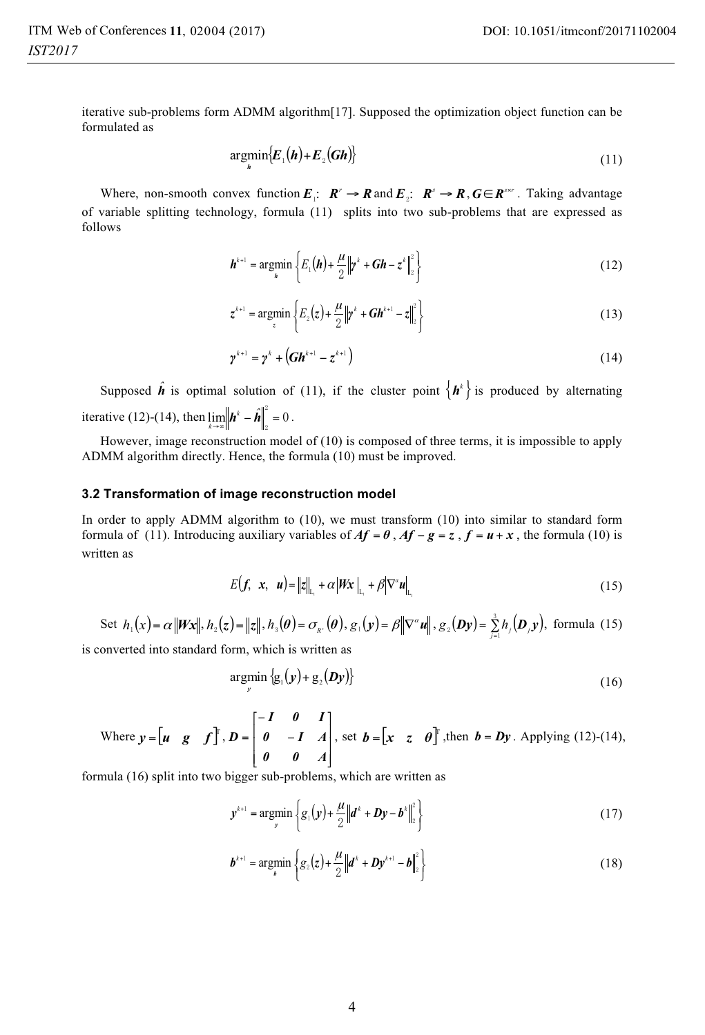$$
\underset{h}{\operatorname{argmin}}\big\{E_1\big(h\big)+E_2\big(Gh\big)\big\}\tag{11}
$$

Where, non-smooth convex function  $E_1$ :  $R' \to R$  and  $E_2$ :  $R' \to R$ ,  $G \in R^{s \times r}$ . Taking advantage of variable splitting technology, formula (11) splits into two sub-problems that are expressed as follows

$$
\boldsymbol{h}^{k+1} = \underset{\boldsymbol{h}}{\text{argmin}} \left\{ E_1(\boldsymbol{h}) + \frac{\mu}{2} \left\| \boldsymbol{y}^k + \boldsymbol{G} \boldsymbol{h} - \boldsymbol{z}^k \right\|_2^2 \right\}
$$
 (12)

$$
z^{k+1} = \underset{z}{\text{argmin}} \left\{ E_2(z) + \frac{\mu}{2} \left\| y^k + G h^{k+1} - z \right\|_2^2 \right\}
$$
 (13)

$$
\gamma^{k+1} = \gamma^k + (Gh^{k+1} - z^{k+1})
$$
\n(14)

Supposed  $\hat{h}$  is optimal solution of (11), if the cluster point  $\{h^k\}$  is produced by alternating iterative (12)-(14), then  $\lim_{k \to \infty} \left\| \mathbf{h}^k - \hat{\mathbf{h}} \right\|_2^2 = 0$ .

However, image reconstruction model of (10) is composed of three terms, it is impossible to apply ADMM algorithm directly. Hence, the formula (10) must be improved.

#### **3.2 Transformation of image reconstruction model**

In order to apply ADMM algorithm to (10), we must transform (10) into similar to standard form formula of (11). Introducing auxiliary variables of  $Af = \theta$ ,  $Af - g = z$ ,  $f = u + x$ , the formula (10) is written as

$$
E(f, x, u) = ||z||_{L_1} + \alpha |Wx|_{L_1} + \beta |\nabla^{\alpha} u|_{L_1}
$$
\n(15)

Set 
$$
h_1(x) = \alpha ||Wx||
$$
,  $h_2(z) = ||z||$ ,  $h_3(\theta) = \sigma_{R}$ .  $(\theta)$ ,  $g_1(y) = \beta ||\nabla^{\alpha} u||$ ,  $g_2(Dy) = \sum_{j=1}^{3} h_j(D_j y)$ , formula (15)

is converted into standard form, which is written as

$$
\underset{y}{\text{argmin}} \left\{ g_1(y) + g_2(Dy) \right\} \tag{16}
$$

Where 
$$
y = [u \ g \ f]^T
$$
,  $D = \begin{bmatrix} -I & 0 & I \\ 0 & -I & A \\ 0 & 0 & A \end{bmatrix}$ , set  $b = [x \ z \ \theta]^T$ , then  $b = Dy$ . Applying (12)-(14),

formula (16) split into two bigger sub-problems, which are written as

$$
y^{k+1} = \underset{y}{\text{argmin}} \left\{ g_1(y) + \frac{\mu}{2} \|d^k + Dy - b^k\|_2^2 \right\}
$$
 (17)

$$
\boldsymbol{b}^{k+1} = \underset{\boldsymbol{b}}{\text{argmin}} \left\{ g_2(z) + \frac{\mu}{2} \left\| \boldsymbol{d}^k + \boldsymbol{D} \boldsymbol{y}^{k+1} - \boldsymbol{b} \right\|_2^2 \right\}
$$
 (18)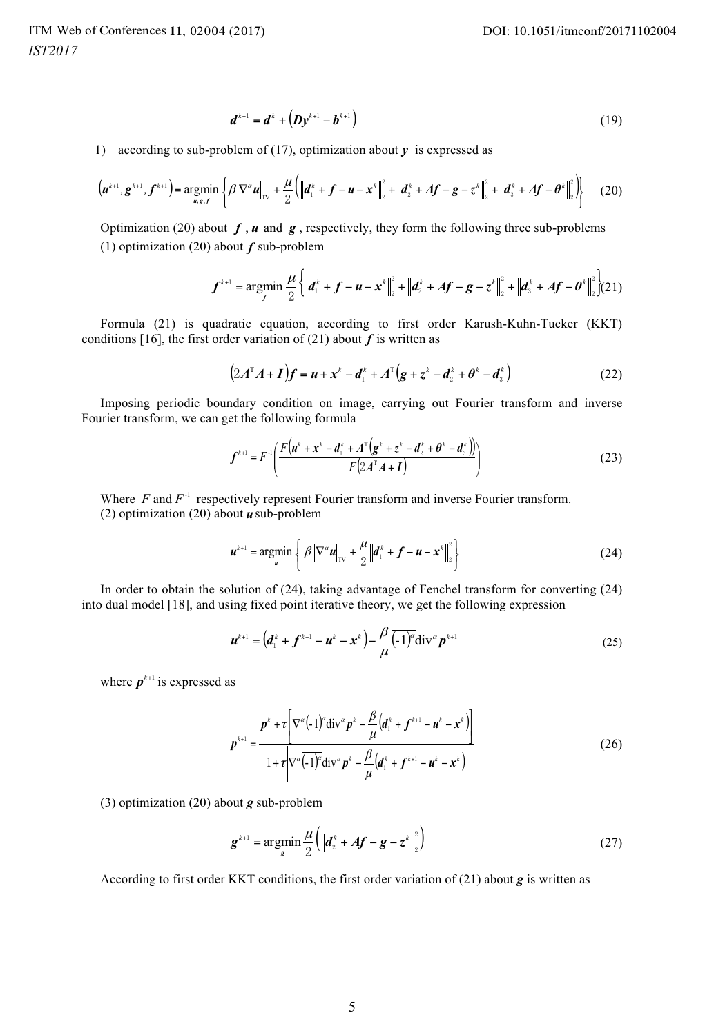$$
d^{k+1} = d^k + \left(Dy^{k+1} - b^{k+1}\right) \tag{19}
$$

1) according to sub-problem of (17), optimization about *y* is expressed as

$$
\left(\boldsymbol{u}^{k+1},\boldsymbol{g}^{k+1},\boldsymbol{f}^{k+1}\right)=\underset{\boldsymbol{u},\boldsymbol{g},\boldsymbol{f}}{\text{argmin}}\left\{\beta\big|\nabla^{\alpha}\boldsymbol{u}\big|_{\text{TV}}+\frac{\mu}{2}\Big(\big\|\boldsymbol{d}_{1}^{k}+\boldsymbol{f}-\boldsymbol{u}-\boldsymbol{x}^{k}\big\|_{2}^{2}+\big\|\boldsymbol{d}_{2}^{k}+\boldsymbol{A}\boldsymbol{f}-\boldsymbol{g}-\boldsymbol{z}^{k}\big\|_{2}^{2}+\big\|\boldsymbol{d}_{3}^{k}+\boldsymbol{A}\boldsymbol{f}-\boldsymbol{\theta}^{k}\big\|_{2}^{2}\Big\}\right\}
$$
(20)

Optimization (20) about  $f$ ,  $u$  and  $g$ , respectively, they form the following three sub-problems (1) optimization (20) about *f* sub-problem

$$
\boldsymbol{f}^{k+1} = \operatorname*{argmin}_{f} \frac{\mu}{2} \left\{ \left\| \boldsymbol{d}_{1}^{k} + \boldsymbol{f} - \boldsymbol{u} - \boldsymbol{x}^{k} \right\|_{2}^{2} + \left\| \boldsymbol{d}_{2}^{k} + \boldsymbol{A} \boldsymbol{f} - \boldsymbol{g} - \boldsymbol{z}^{k} \right\|_{2}^{2} + \left\| \boldsymbol{d}_{3}^{k} + \boldsymbol{A} \boldsymbol{f} - \boldsymbol{\theta}^{k} \right\|_{2}^{2} \right\} (21)
$$

Formula (21) is quadratic equation, according to first order Karush-Kuhn-Tucker (KKT) conditions [16], the first order variation of (21) about  $f$  is written as

$$
(2A^{\mathrm{T}}A + I)\mathbf{f} = \mathbf{u} + \mathbf{x}^k - \mathbf{d}_1^k + A^{\mathrm{T}}(\mathbf{g} + \mathbf{z}^k - \mathbf{d}_2^k + \mathbf{\theta}^k - \mathbf{d}_3^k)
$$
 (22)

Imposing periodic boundary condition on image, carrying out Fourier transform and inverse Fourier transform, we can get the following formula

$$
f^{k+1} = F^{-1}\left(\frac{F(u^k + x^k - d_1^k + A^T(g^k + z^k - d_2^k + \theta^k - d_3^k))}{F(2A^T A + I)}\right)
$$
(23)

Where  $F$  and  $F^{-1}$  respectively represent Fourier transform and inverse Fourier transform. (2) optimization (20) about *u*sub-problem

$$
\boldsymbol{u}^{k+1} = \underset{\boldsymbol{u}}{\text{argmin}} \left\{ \beta \left| \nabla^{\alpha} \boldsymbol{u} \right|_{\text{TV}} + \frac{\mu}{2} \left\| \boldsymbol{d}_{1}^{k} + \boldsymbol{f} - \boldsymbol{u} - \boldsymbol{x}^{k} \right\|_{2}^{2} \right\}
$$
(24)

In order to obtain the solution of (24), taking advantage of Fenchel transform for converting (24) into dual model [18], and using fixed point iterative theory, we get the following expression

$$
\boldsymbol{u}^{k+1} = \left(\boldsymbol{d}_1^k + \boldsymbol{f}^{k+1} - \boldsymbol{u}^k - \boldsymbol{x}^k\right) - \frac{\beta}{\mu} \overline{\left(1\right)^2} \operatorname{div}^{\alpha} \boldsymbol{p}^{k+1}
$$
 (25)

where  $p^{k+1}$  is expressed as

$$
p^{k+1} = \frac{p^k + \tau \left[\nabla^{\alpha} \overline{(-1)^{\alpha}} \text{div}^{\alpha} p^k - \frac{\beta}{\mu} \left(d_1^k + f^{k+1} - u^k - x^k\right)\right]}{1 + \tau \left|\nabla^{\alpha} \overline{(-1)^{\alpha}} \text{div}^{\alpha} p^k - \frac{\beta}{\mu} \left(d_1^k + f^{k+1} - u^k - x^k\right)\right|}
$$
(26)

(3) optimization (20) about *g* sub-problem

$$
g^{k+1} = \underset{s}{\text{argmin}} \frac{\mu}{2} \left( \left\| \boldsymbol{d}_{2}^{k} + \boldsymbol{A} \boldsymbol{f} - \boldsymbol{g} - \boldsymbol{z}^{k} \right\|_{2}^{2} \right)
$$
 (27)

According to first order KKT conditions, the first order variation of (21) about *g* is written as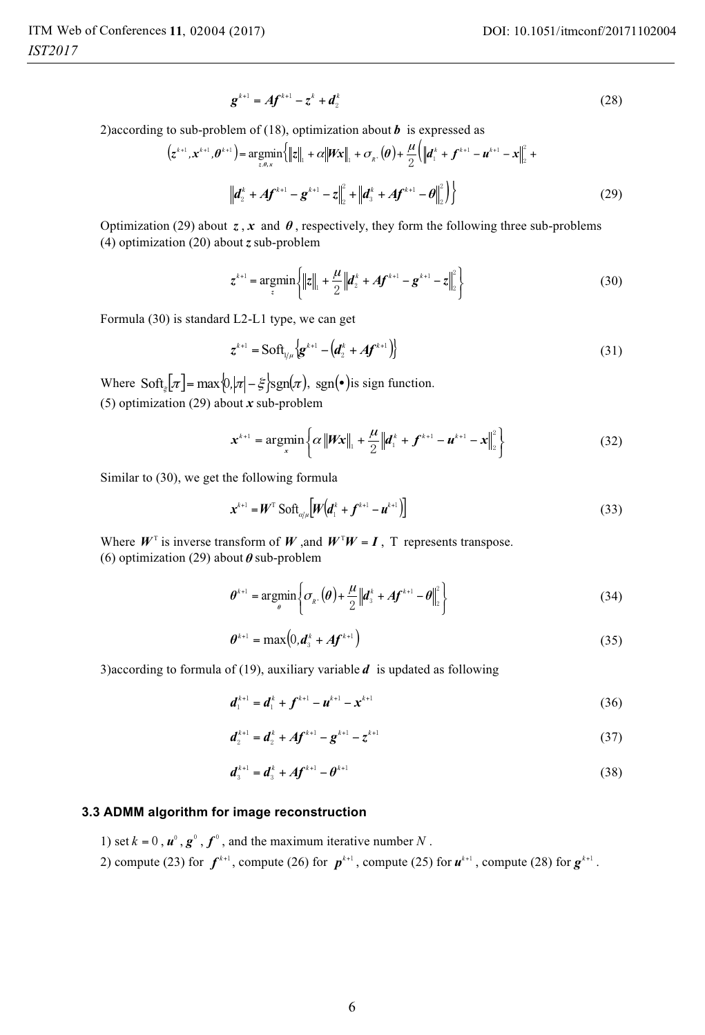$$
g^{k+1} = Af^{k+1} - z^k + d_2^k
$$
 (28)

2)according to sub-problem of (18), optimization about  $\boldsymbol{b}$  is expressed as

$$
(z^{k+1}, x^{k+1}, \theta^{k+1}) = \underset{z, \theta, x}{\text{argmin}} \left\{ ||z||_1 + \alpha ||\mathbf{W}x||_1 + \sigma_{\mathbf{R}^*}(\theta) + \frac{\mu}{2} (||\mathbf{d}_1^k + f^{k+1} - \mathbf{u}^{k+1} - x||_2^2 + ||\mathbf{d}_2^k + \mathbf{A}f^{k+1} - \mathbf{g}^{k+1} - z||_2^2 + ||\mathbf{d}_3^k + \mathbf{A}f^{k+1} - \theta||_2^2 \right\}
$$
\n(29)

Optimization (29) about  $z, x$  and  $\theta$ , respectively, they form the following three sub-problems (4) optimization (20) about *z* sub-problem

$$
z^{k+1} = \underset{z}{\operatorname{argmin}} \left\{ \|z\|_{1} + \frac{\mu}{2} \|d_{2}^{k} + Af^{k+1} - g^{k+1} - z\|_{2}^{2} \right\}
$$
(30)

Formula (30) is standard L2-L1 type, we can get

$$
\mathbf{z}^{k+1} = \text{Soft}_{1/\mu} \left\{ \mathbf{g}^{k+1} - \left( \mathbf{d}_2^k + A \mathbf{f}^{k+1} \right) \right\}
$$
 (31)

Where  $\text{Soft}_{\varepsilon}[\pi] = \max\{0, |\pi| - \xi\} \text{sgn}(\pi), \text{ sgn}(\bullet) \text{ is sign function.}$ (5) optimization (29) about *x* sub-problem

$$
\mathbf{x}^{k+1} = \underset{x}{\text{argmin}} \left\{ \alpha \left\| \mathbf{W} \mathbf{x} \right\|_{1} + \frac{\mu}{2} \left\| \mathbf{d}_{1}^{k} + \boldsymbol{f}^{k+1} - \mathbf{u}^{k+1} - \mathbf{x} \right\|_{2}^{2} \right\}
$$
(32)

Similar to (30), we get the following formula

$$
\mathbf{x}^{k+1} = \mathbf{W}^{\mathrm{T}} \, \mathrm{Soft}_{a/\mu} \big[ \mathbf{W} \big( \mathbf{d}_{1}^{k} + \mathbf{f}^{k+1} - \mathbf{u}^{k+1} \big) \big] \tag{33}
$$

Where  $W^T$  is inverse transform of  $W$ , and  $W^T W = I$ , T represents transpose. (6) optimization (29) about *θ* sub-problem

$$
\theta^{k+1} = \underset{\theta}{\text{argmin}} \bigg\{ \sigma_{k} \cdot (\theta) + \frac{\mu}{2} \bigg| d_{3}^{k} + Af^{k+1} - \theta \bigg|_{2}^{2} \bigg\}
$$
 (34)

$$
\theta^{k+1} = \max(0, \mathbf{d}_3^k + A \mathbf{f}^{k+1})
$$
\n(35)

3)according to formula of (19), auxiliary variable *d* is updated as following

$$
\boldsymbol{d}_{1}^{k+1} = \boldsymbol{d}_{1}^{k} + \boldsymbol{f}^{k+1} - \boldsymbol{u}^{k+1} - \boldsymbol{x}^{k+1} \tag{36}
$$

$$
\boldsymbol{d}_{2}^{k+1} = \boldsymbol{d}_{2}^{k} + A \boldsymbol{f}^{k+1} - \boldsymbol{g}^{k+1} - z^{k+1} \tag{37}
$$

$$
d_3^{k+1} = d_3^k + Af^{k+1} - \theta^{k+1}
$$
\n(38)

#### **3.3 ADMM algorithm for image reconstruction**

- 1) set  $k = 0$ ,  $\mathbf{u}^{\circ}$ ,  $\mathbf{g}^{\circ}$ ,  $\mathbf{f}^{\circ}$ , and the maximum iterative number N.
- 2) compute (23) for  $f^{k+1}$ , compute (26) for  $p^{k+1}$ , compute (25) for  $u^{k+1}$ , compute (28) for  $g^{k+1}$ .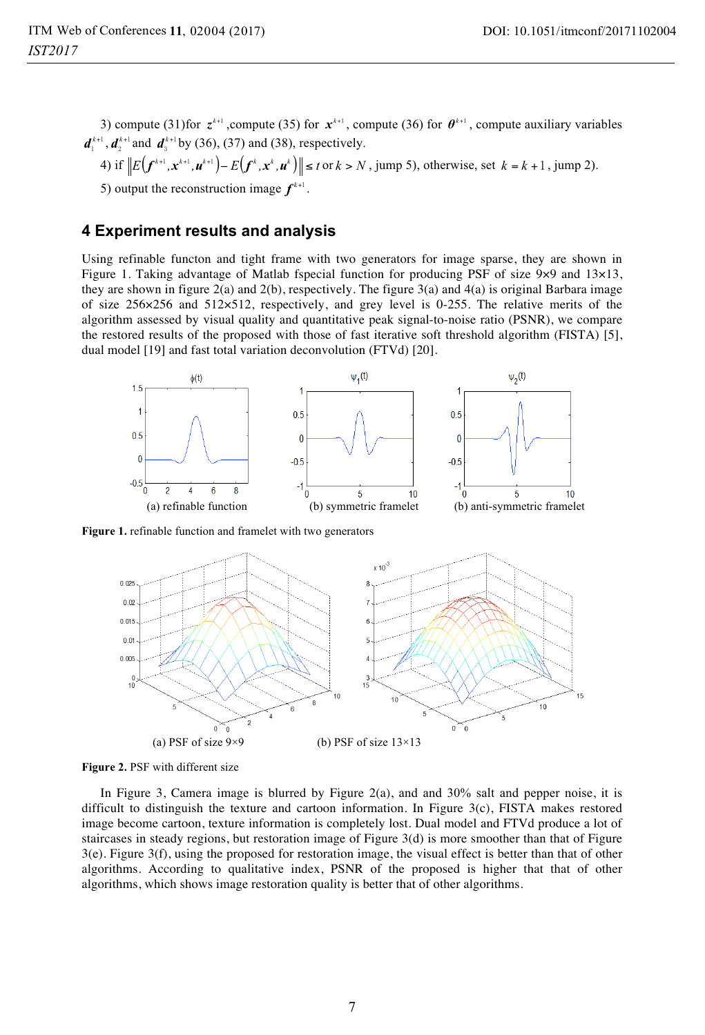3) compute (31) for  $z^{k+1}$ , compute (35) for  $x^{k+1}$ , compute (36) for  $\theta^{k+1}$ , compute auxiliary variables  $d_1^{k+1}$ ,  $d_2^{k+1}$  and  $d_3^{k+1}$  by (36), (37) and (38), respectively.

4) if 
$$
||E(f^{k+1}, x^{k+1}, u^{k+1}) - E(f^k, x^k, u^k)|| \le t
$$
 or  $k > N$ , jump 5), otherwise, set  $k = k + 1$ , jump 2).

5) output the reconstruction image  $f^{k+1}$ .

## **4 Experiment results and analysis**

Using refinable functon and tight frame with two generators for image sparse, they are shown in Figure 1. Taking advantage of Matlab fspecial function for producing PSF of size 9×9 and 13×13, they are shown in figure 2(a) and 2(b), respectively. The figure 3(a) and 4(a) is original Barbara image of size 256×256 and 512×512, respectively, and grey level is 0-255. The relative merits of the algorithm assessed by visual quality and quantitative peak signal-to-noise ratio (PSNR), we compare the restored results of the proposed with those of fast iterative soft threshold algorithm (FISTA) [5], dual model [19] and fast total variation deconvolution (FTVd) [20].



**Figure 1.** refinable function and framelet with two generators



**Figure 2.** PSF with different size

In Figure 3, Camera image is blurred by Figure  $2(a)$ , and and  $30\%$  salt and pepper noise, it is difficult to distinguish the texture and cartoon information. In Figure 3(c), FISTA makes restored image become cartoon, texture information is completely lost. Dual model and FTVd produce a lot of staircases in steady regions, but restoration image of Figure 3(d) is more smoother than that of Figure 3(e). Figure 3(f), using the proposed for restoration image, the visual effect is better than that of other algorithms. According to qualitative index, PSNR of the proposed is higher that that of other algorithms, which shows image restoration quality is better that of other algorithms.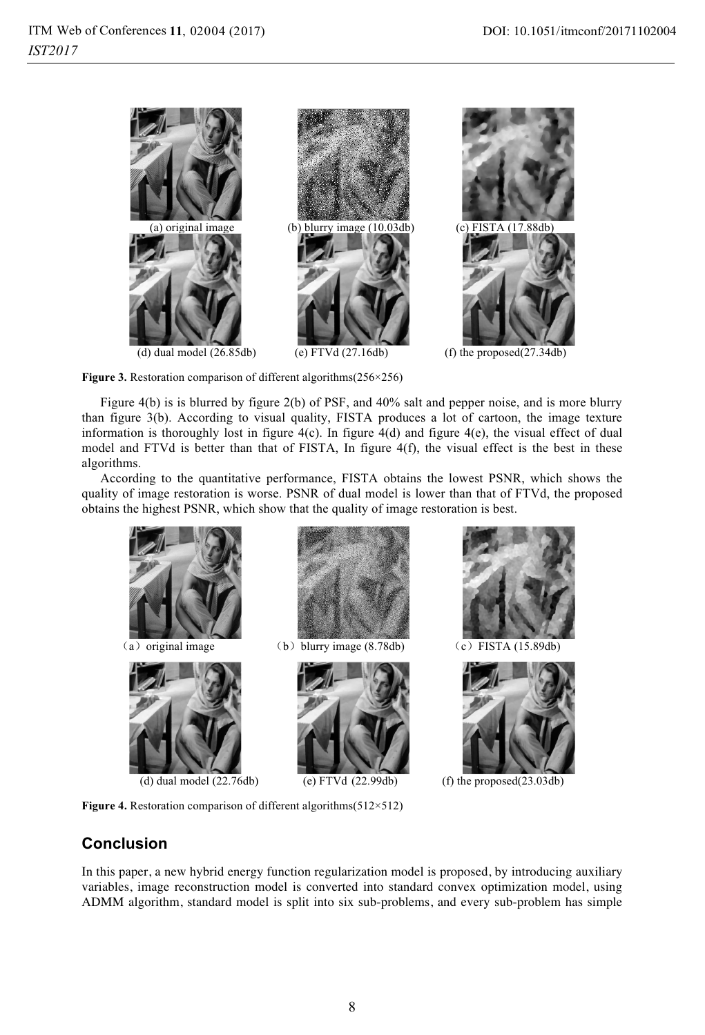

**Figure 3.** Restoration comparison of different algorithms(256×256)

Figure 4(b) is is blurred by figure 2(b) of PSF, and 40% salt and pepper noise, and is more blurry than figure 3(b). According to visual quality, FISTA produces a lot of cartoon, the image texture information is thoroughly lost in figure 4(c). In figure 4(d) and figure 4(e), the visual effect of dual model and FTVd is better than that of FISTA, In figure 4(f), the visual effect is the best in these algorithms.

According to the quantitative performance, FISTA obtains the lowest PSNR, which shows the quality of image restoration is worse. PSNR of dual model is lower than that of FTVd, the proposed obtains the highest PSNR, which show that the quality of image restoration is best.



**Figure 4.** Restoration comparison of different algorithms(512×512)

## **Conclusion**

In this paper, a new hybrid energy function regularization model is proposed, by introducing auxiliary variables, image reconstruction model is converted into standard convex optimization model, using ADMM algorithm, standard model is split into six sub-problems, and every sub-problem has simple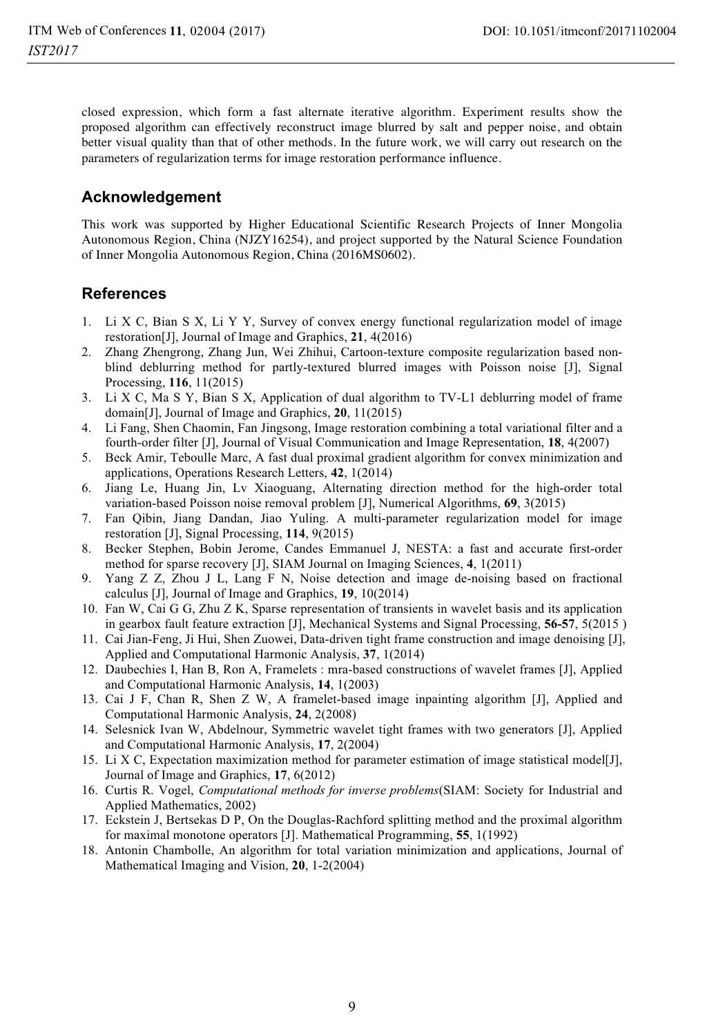closed expression, which form a fast alternate iterative algorithm. Experiment results show the proposed algorithm can effectively reconstruct image blurred by salt and pepper noise, and obtain better visual quality than that of other methods. In the future work, we will carry out research on the parameters of regularization terms for image restoration performance influence.

## **Acknowledgement**

This work was supported by Higher Educational Scientific Research Projects of Inner Mongolia Autonomous Region, China (NJZY16254), and project supported by the Natural Science Foundation of Inner Mongolia Autonomous Region, China (2016MS0602).

## **References**

- 1. Li X C, Bian S X, Li Y Y, Survey of convex energy functional regularization model of image restoration[J], Journal of Image and Graphics, **21**, 4(2016)
- 2. Zhang Zhengrong, Zhang Jun, Wei Zhihui, Cartoon-texture composite regularization based nonblind deblurring method for partly-textured blurred images with Poisson noise [J], Signal Processing, **116**, 11(2015)
- 3. Li X C, Ma S Y, Bian S X, Application of dual algorithm to TV-L1 deblurring model of frame domain[J], Journal of Image and Graphics, **20**, 11(2015)
- 4. Li Fang, Shen Chaomin, Fan Jingsong, Image restoration combining a total variational filter and a fourth-order filter [J], Journal of Visual Communication and Image Representation, **18**, 4(2007)
- 5. Beck Amir, Teboulle Marc, A fast dual proximal gradient algorithm for convex minimization and applications, Operations Research Letters, **42**, 1(2014)
- 6. Jiang Le, Huang Jin, Lv Xiaoguang, Alternating direction method for the high-order total variation-based Poisson noise removal problem [J], Numerical Algorithms, **69**, 3(2015)
- 7. Fan Qibin, Jiang Dandan, Jiao Yuling. A multi-parameter regularization model for image restoration [J], Signal Processing, **114**, 9(2015)
- 8. Becker Stephen, Bobin Jerome, Candes Emmanuel J, NESTA: a fast and accurate first-order method for sparse recovery [J], SIAM Journal on Imaging Sciences, **4**, 1(2011)
- 9. Yang Z Z, Zhou J L, Lang F N, Noise detection and image de-noising based on fractional calculus [J], Journal of Image and Graphics, **19**, 10(2014)
- 10. Fan W, Cai G G, Zhu Z K, Sparse representation of transients in wavelet basis and its application in gearbox fault feature extraction [J], Mechanical Systems and Signal Processing, **56-57**, 5(2015 )
- 11. Cai Jian-Feng, Ji Hui, Shen Zuowei, Data-driven tight frame construction and image denoising [J], Applied and Computational Harmonic Analysis, **37**, 1(2014)
- 12. Daubechies I, Han B, Ron A, Framelets : mra-based constructions of wavelet frames [J], Applied and Computational Harmonic Analysis, **14**, 1(2003)
- 13. Cai J F, Chan R, Shen Z W, A framelet-based image inpainting algorithm [J], Applied and Computational Harmonic Analysis, **24**, 2(2008)
- 14. Selesnick Ivan W, Abdelnour, Symmetric wavelet tight frames with two generators [J], Applied and Computational Harmonic Analysis, **17**, 2(2004)
- 15. Li X C, Expectation maximization method for parameter estimation of image statistical model[J], Journal of Image and Graphics, **17**, 6(2012)
- 16. Curtis R. Vogel, *Computational methods for inverse problems*(SIAM: Society for Industrial and Applied Mathematics, 2002)
- 17. Eckstein J, Bertsekas D P, On the Douglas-Rachford splitting method and the proximal algorithm for maximal monotone operators [J]. Mathematical Programming, **55**, 1(1992)
- 18. Antonin Chambolle, An algorithm for total variation minimization and applications, Journal of Mathematical Imaging and Vision, **20**, 1-2(2004)